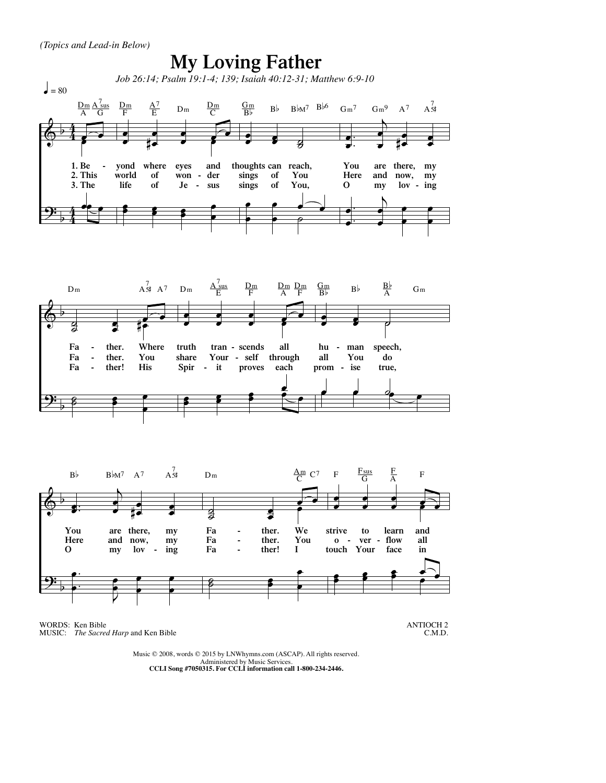

WORDS: Ken Bible MUSIC: *The Sacred Harp* and Ken Bible

ANTIOCH 2 C.M.D.

Music © 2008, words © 2015 by LNWhymns.com (ASCAP). All rights reserved. Administered by Music Services. **CCLI Song #7050315. For CCLI information call 1-800-234-2446.**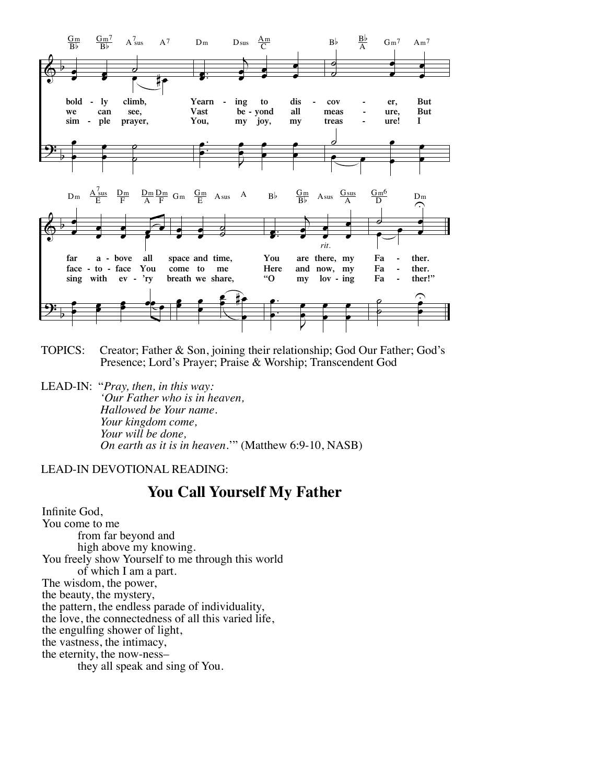

- **TOPICS:** Creator; Father & Son, joining their relationship; God Our Father; God's Presence; Lord's Prayer; Praise & Worship; Transcendent God
- LEAD-IN: "Pray, then, in this way: 'Our Father who is in heaven, Hallowed be Your name. Your kingdom come, Your will be done, On earth as it is in heaven."" (Matthew 6:9-10, NASB)

## **LEAD-IN DEVOTIONAL READING:**

## You Call Yourself My Father

Infinite God, You come to me from far beyond and high above my knowing. You freely show Yourself to me through this world of which I am a part. The wisdom, the power, the beauty, the mystery, the pattern, the endless parade of individuality, the love, the connectedness of all this varied life, the engulfing shower of light, the vastness, the intimacy, the eternity, the now-nessthey all speak and sing of You.